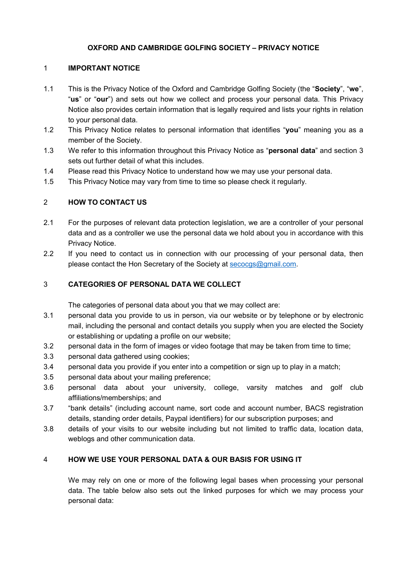## OXFORD AND CAMBRIDGE GOLFING SOCIETY – PRIVACY NOTICE

## 1 IMPORTANT NOTICE

- 1.1 This is the Privacy Notice of the Oxford and Cambridge Golfing Society (the "Society", "we", "us" or "our") and sets out how we collect and process your personal data. This Privacy Notice also provides certain information that is legally required and lists your rights in relation to your personal data.
- 1.2 This Privacy Notice relates to personal information that identifies "you" meaning you as a member of the Society.
- 1.3 We refer to this information throughout this Privacy Notice as "**personal data**" and section 3 sets out further detail of what this includes.
- 1.4 Please read this Privacy Notice to understand how we may use your personal data.
- 1.5 This Privacy Notice may vary from time to time so please check it regularly.

# 2 HOW TO CONTACT US

- 2.1 For the purposes of relevant data protection legislation, we are a controller of your personal data and as a controller we use the personal data we hold about you in accordance with this Privacy Notice.
- 2.2 If you need to contact us in connection with our processing of your personal data, then please contact the Hon Secretary of the Society at secocgs@gmail.com.

# 3 CATEGORIES OF PERSONAL DATA WE COLLECT

The categories of personal data about you that we may collect are:

- 3.1 personal data you provide to us in person, via our website or by telephone or by electronic mail, including the personal and contact details you supply when you are elected the Society or establishing or updating a profile on our website;
- 3.2 personal data in the form of images or video footage that may be taken from time to time;
- 3.3 personal data gathered using cookies;
- 3.4 personal data you provide if you enter into a competition or sign up to play in a match;
- 3.5 personal data about your mailing preference;
- 3.6 personal data about your university, college, varsity matches and golf club affiliations/memberships; and
- 3.7 "bank details" (including account name, sort code and account number, BACS registration details, standing order details, Paypal identifiers) for our subscription purposes; and
- 3.8 details of your visits to our website including but not limited to traffic data, location data, weblogs and other communication data.

### 4 HOW WE USE YOUR PERSONAL DATA & OUR BASIS FOR USING IT

We may rely on one or more of the following legal bases when processing your personal data. The table below also sets out the linked purposes for which we may process your personal data: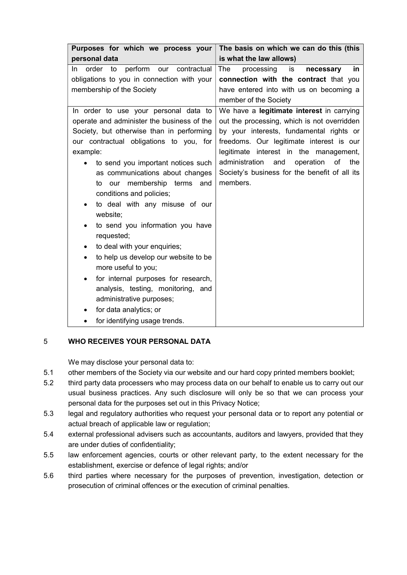| Purposes for which we process your                | The basis on which we can do this (this           |
|---------------------------------------------------|---------------------------------------------------|
| personal data                                     | is what the law allows)                           |
| perform<br>contractual<br>order to<br>our<br>In.  | processing<br>The<br>is<br>necessary<br><u>in</u> |
| obligations to you in connection with your        | connection with the contract that you             |
| membership of the Society                         | have entered into with us on becoming a           |
|                                                   | member of the Society                             |
| In order to use your personal data to             | We have a legitimate interest in carrying         |
| operate and administer the business of the        | out the processing, which is not overridden       |
| Society, but otherwise than in performing         | by your interests, fundamental rights or          |
| our contractual obligations to you, for           | freedoms. Our legitimate interest is our          |
| example:                                          | legitimate interest in the management,            |
| to send you important notices such                | administration<br>operation of<br>and<br>the      |
| as communications about changes                   | Society's business for the benefit of all its     |
| to our membership terms and                       | members.                                          |
| conditions and policies;                          |                                                   |
| to deal with any misuse of our<br>٠               |                                                   |
| website;                                          |                                                   |
| to send you information you have<br>$\bullet$     |                                                   |
| requested;                                        |                                                   |
| to deal with your enquiries;<br>٠                 |                                                   |
| to help us develop our website to be<br>$\bullet$ |                                                   |
| more useful to you;                               |                                                   |
| for internal purposes for research,<br>٠          |                                                   |
| analysis, testing, monitoring, and                |                                                   |
| administrative purposes;                          |                                                   |
| for data analytics; or<br>٠                       |                                                   |
| for identifying usage trends.                     |                                                   |

# 5 WHO RECEIVES YOUR PERSONAL DATA

We may disclose your personal data to:

- 5.1 other members of the Society via our website and our hard copy printed members booklet;
- 5.2 third party data processers who may process data on our behalf to enable us to carry out our usual business practices. Any such disclosure will only be so that we can process your personal data for the purposes set out in this Privacy Notice;
- 5.3 legal and regulatory authorities who request your personal data or to report any potential or actual breach of applicable law or regulation;
- 5.4 external professional advisers such as accountants, auditors and lawyers, provided that they are under duties of confidentiality;
- 5.5 law enforcement agencies, courts or other relevant party, to the extent necessary for the establishment, exercise or defence of legal rights; and/or
- 5.6 third parties where necessary for the purposes of prevention, investigation, detection or prosecution of criminal offences or the execution of criminal penalties.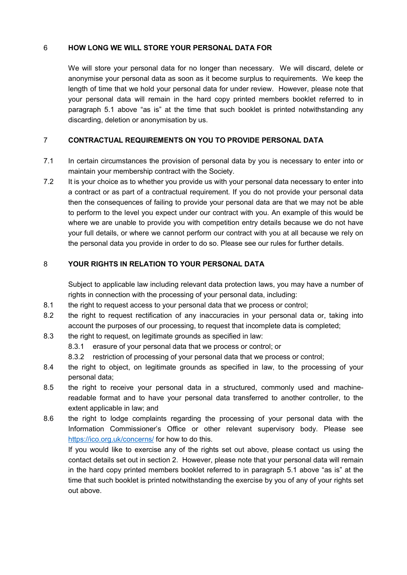### 6 HOW LONG WE WILL STORE YOUR PERSONAL DATA FOR

We will store your personal data for no longer than necessary. We will discard, delete or anonymise your personal data as soon as it become surplus to requirements. We keep the length of time that we hold your personal data for under review. However, please note that your personal data will remain in the hard copy printed members booklet referred to in paragraph 5.1 above "as is" at the time that such booklet is printed notwithstanding any discarding, deletion or anonymisation by us.

## 7 CONTRACTUAL REQUIREMENTS ON YOU TO PROVIDE PERSONAL DATA

- 7.1 In certain circumstances the provision of personal data by you is necessary to enter into or maintain your membership contract with the Society.
- 7.2 It is your choice as to whether you provide us with your personal data necessary to enter into a contract or as part of a contractual requirement. If you do not provide your personal data then the consequences of failing to provide your personal data are that we may not be able to perform to the level you expect under our contract with you. An example of this would be where we are unable to provide you with competition entry details because we do not have your full details, or where we cannot perform our contract with you at all because we rely on the personal data you provide in order to do so. Please see our rules for further details.

# 8 YOUR RIGHTS IN RELATION TO YOUR PERSONAL DATA

Subject to applicable law including relevant data protection laws, you may have a number of rights in connection with the processing of your personal data, including:

- 8.1 the right to request access to your personal data that we process or control;
- 8.2 the right to request rectification of any inaccuracies in your personal data or, taking into account the purposes of our processing, to request that incomplete data is completed;
- 8.3 the right to request, on legitimate grounds as specified in law:
	- 8.3.1 erasure of your personal data that we process or control; or
	- 8.3.2 restriction of processing of your personal data that we process or control;
- 8.4 the right to object, on legitimate grounds as specified in law, to the processing of your personal data;
- 8.5 the right to receive your personal data in a structured, commonly used and machinereadable format and to have your personal data transferred to another controller, to the extent applicable in law; and
- 8.6 the right to lodge complaints regarding the processing of your personal data with the Information Commissioner's Office or other relevant supervisory body. Please see https://ico.org.uk/concerns/ for how to do this.

If you would like to exercise any of the rights set out above, please contact us using the contact details set out in section 2. However, please note that your personal data will remain in the hard copy printed members booklet referred to in paragraph 5.1 above "as is" at the time that such booklet is printed notwithstanding the exercise by you of any of your rights set out above.